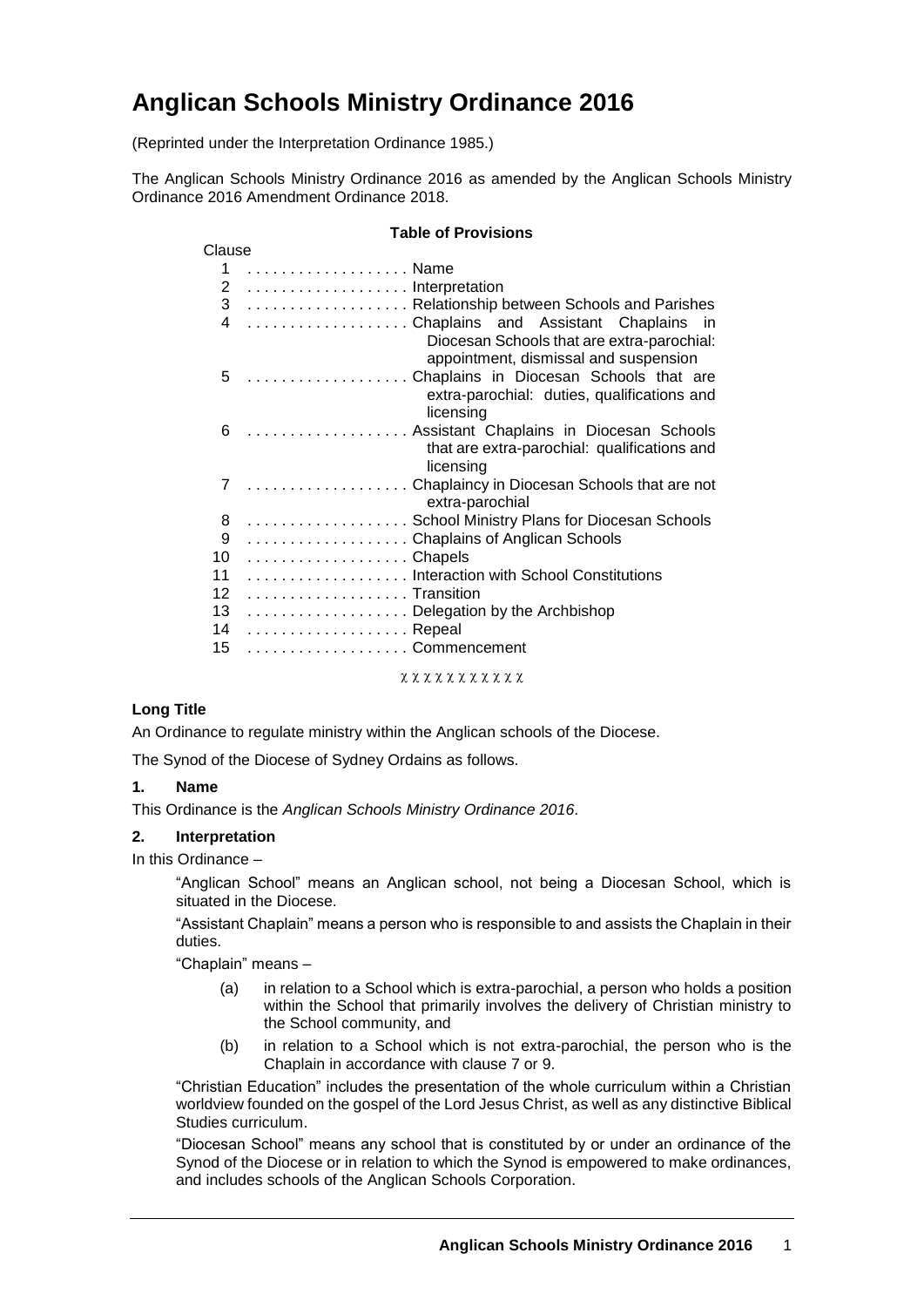# **Anglican Schools Ministry Ordinance 2016**

(Reprinted under the Interpretation Ordinance 1985.)

The Anglican Schools Ministry Ordinance 2016 as amended by the Anglican Schools Ministry Ordinance 2016 Amendment Ordinance 2018.

#### **Table of Provisions**

| Clause          |                                                                                                                             |  |
|-----------------|-----------------------------------------------------------------------------------------------------------------------------|--|
| 1               | Name                                                                                                                        |  |
| $\mathbf{2}$    | Interpretation                                                                                                              |  |
| 3 <sup>7</sup>  | Relationship between Schools and Parishes                                                                                   |  |
| 4               | Chaplains and Assistant Chaplains in<br>Diocesan Schools that are extra-parochial:<br>appointment, dismissal and suspension |  |
| 5               | Chaplains in Diocesan Schools that are<br>extra-parochial: duties, qualifications and<br>licensing                          |  |
| 6               | Assistant Chaplains in Diocesan Schools<br>that are extra-parochial: qualifications and<br>licensing                        |  |
| 7               | Chaplaincy in Diocesan Schools that are not<br>extra-parochial                                                              |  |
| 8               | School Ministry Plans for Diocesan Schools                                                                                  |  |
| 9               | Chaplains of Anglican Schools                                                                                               |  |
| 10              | Chapels                                                                                                                     |  |
| 11              | Interaction with School Constitutions                                                                                       |  |
| 12 <sup>2</sup> | Transition                                                                                                                  |  |
| 13              | Delegation by the Archbishop                                                                                                |  |
| 14              | Repeal                                                                                                                      |  |
| 15              | . Commencement                                                                                                              |  |

**x x x x x x x x x x x** 

# **Long Title**

An Ordinance to regulate ministry within the Anglican schools of the Diocese.

The Synod of the Diocese of Sydney Ordains as follows.

## **1. Name**

This Ordinance is the *Anglican Schools Ministry Ordinance 2016*.

## **2. Interpretation**

In this Ordinance –

"Anglican School" means an Anglican school, not being a Diocesan School, which is situated in the Diocese.

"Assistant Chaplain" means a person who is responsible to and assists the Chaplain in their duties.

"Chaplain" means –

- (a) in relation to a School which is extra-parochial, a person who holds a position within the School that primarily involves the delivery of Christian ministry to the School community, and
- (b) in relation to a School which is not extra-parochial, the person who is the Chaplain in accordance with clause 7 or 9.

"Christian Education" includes the presentation of the whole curriculum within a Christian worldview founded on the gospel of the Lord Jesus Christ, as well as any distinctive Biblical Studies curriculum.

"Diocesan School" means any school that is constituted by or under an ordinance of the Synod of the Diocese or in relation to which the Synod is empowered to make ordinances, and includes schools of the Anglican Schools Corporation.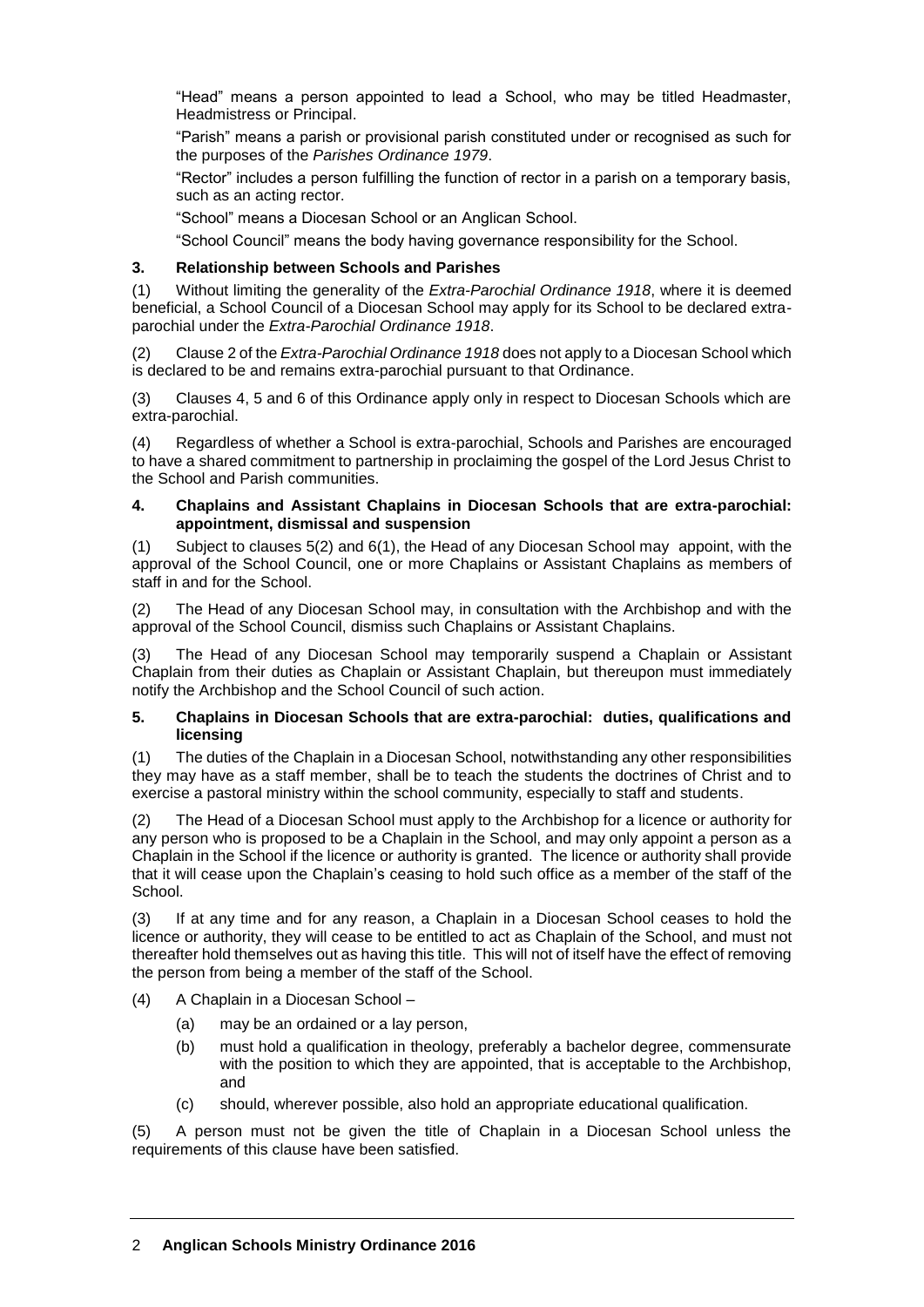"Head" means a person appointed to lead a School, who may be titled Headmaster, Headmistress or Principal.

"Parish" means a parish or provisional parish constituted under or recognised as such for the purposes of the *Parishes Ordinance 1979*.

"Rector" includes a person fulfilling the function of rector in a parish on a temporary basis, such as an acting rector.

"School" means a Diocesan School or an Anglican School.

"School Council" means the body having governance responsibility for the School.

#### **3. Relationship between Schools and Parishes**

(1) Without limiting the generality of the *Extra-Parochial Ordinance 1918*, where it is deemed beneficial, a School Council of a Diocesan School may apply for its School to be declared extraparochial under the *Extra-Parochial Ordinance 1918*.

(2) Clause 2 of the *Extra-Parochial Ordinance 1918* does not apply to a Diocesan School which is declared to be and remains extra-parochial pursuant to that Ordinance.

(3) Clauses 4, 5 and 6 of this Ordinance apply only in respect to Diocesan Schools which are extra-parochial.

(4) Regardless of whether a School is extra-parochial, Schools and Parishes are encouraged to have a shared commitment to partnership in proclaiming the gospel of the Lord Jesus Christ to the School and Parish communities.

#### **4. Chaplains and Assistant Chaplains in Diocesan Schools that are extra-parochial: appointment, dismissal and suspension**

(1) Subject to clauses 5(2) and 6(1), the Head of any Diocesan School may appoint, with the approval of the School Council, one or more Chaplains or Assistant Chaplains as members of staff in and for the School.

(2) The Head of any Diocesan School may, in consultation with the Archbishop and with the approval of the School Council, dismiss such Chaplains or Assistant Chaplains.

(3) The Head of any Diocesan School may temporarily suspend a Chaplain or Assistant Chaplain from their duties as Chaplain or Assistant Chaplain, but thereupon must immediately notify the Archbishop and the School Council of such action.

#### **5. Chaplains in Diocesan Schools that are extra-parochial: duties, qualifications and licensing**

(1) The duties of the Chaplain in a Diocesan School, notwithstanding any other responsibilities they may have as a staff member, shall be to teach the students the doctrines of Christ and to exercise a pastoral ministry within the school community, especially to staff and students.

(2) The Head of a Diocesan School must apply to the Archbishop for a licence or authority for any person who is proposed to be a Chaplain in the School, and may only appoint a person as a Chaplain in the School if the licence or authority is granted. The licence or authority shall provide that it will cease upon the Chaplain's ceasing to hold such office as a member of the staff of the School.

(3) If at any time and for any reason, a Chaplain in a Diocesan School ceases to hold the licence or authority, they will cease to be entitled to act as Chaplain of the School, and must not thereafter hold themselves out as having this title. This will not of itself have the effect of removing the person from being a member of the staff of the School.

- (4) A Chaplain in a Diocesan School
	- (a) may be an ordained or a lay person,
	- (b) must hold a qualification in theology, preferably a bachelor degree, commensurate with the position to which they are appointed, that is acceptable to the Archbishop, and
	- (c) should, wherever possible, also hold an appropriate educational qualification.

(5) A person must not be given the title of Chaplain in a Diocesan School unless the requirements of this clause have been satisfied.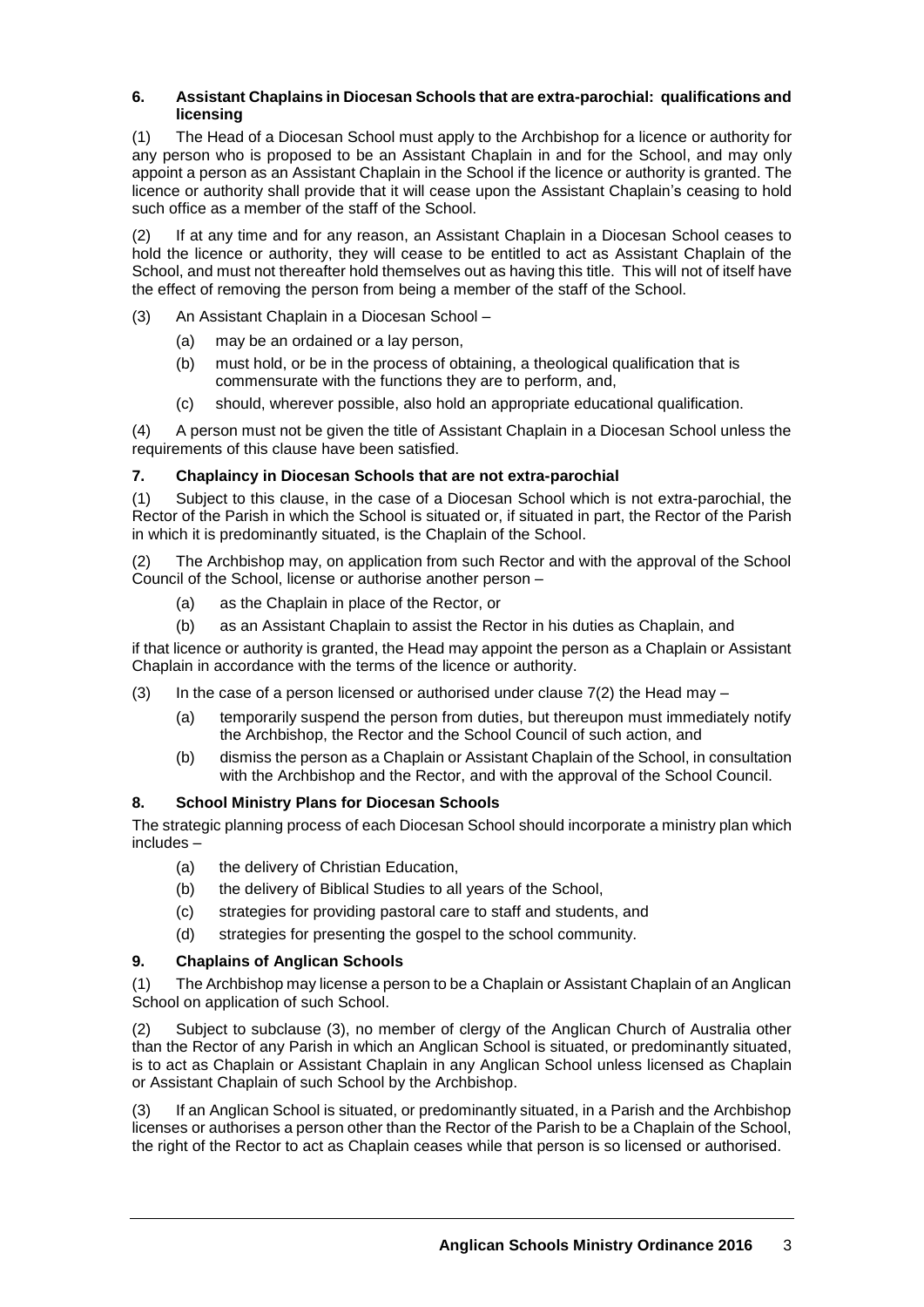## **6. Assistant Chaplains in Diocesan Schools that are extra-parochial: qualifications and licensing**

(1) The Head of a Diocesan School must apply to the Archbishop for a licence or authority for any person who is proposed to be an Assistant Chaplain in and for the School, and may only appoint a person as an Assistant Chaplain in the School if the licence or authority is granted. The licence or authority shall provide that it will cease upon the Assistant Chaplain's ceasing to hold such office as a member of the staff of the School.

(2) If at any time and for any reason, an Assistant Chaplain in a Diocesan School ceases to hold the licence or authority, they will cease to be entitled to act as Assistant Chaplain of the School, and must not thereafter hold themselves out as having this title. This will not of itself have the effect of removing the person from being a member of the staff of the School.

- (3) An Assistant Chaplain in a Diocesan School
	- (a) may be an ordained or a lay person,
	- (b) must hold, or be in the process of obtaining, a theological qualification that is commensurate with the functions they are to perform, and,
	- (c) should, wherever possible, also hold an appropriate educational qualification.

(4) A person must not be given the title of Assistant Chaplain in a Diocesan School unless the requirements of this clause have been satisfied.

## **7. Chaplaincy in Diocesan Schools that are not extra-parochial**

(1) Subject to this clause, in the case of a Diocesan School which is not extra-parochial, the Rector of the Parish in which the School is situated or, if situated in part, the Rector of the Parish in which it is predominantly situated, is the Chaplain of the School.

(2) The Archbishop may, on application from such Rector and with the approval of the School Council of the School, license or authorise another person –

- (a) as the Chaplain in place of the Rector, or
- (b) as an Assistant Chaplain to assist the Rector in his duties as Chaplain, and

if that licence or authority is granted, the Head may appoint the person as a Chaplain or Assistant Chaplain in accordance with the terms of the licence or authority.

- (3) In the case of a person licensed or authorised under clause  $7(2)$  the Head may
	- (a) temporarily suspend the person from duties, but thereupon must immediately notify the Archbishop, the Rector and the School Council of such action, and
	- (b) dismiss the person as a Chaplain or Assistant Chaplain of the School, in consultation with the Archbishop and the Rector, and with the approval of the School Council.

## **8. School Ministry Plans for Diocesan Schools**

The strategic planning process of each Diocesan School should incorporate a ministry plan which includes –

- (a) the delivery of Christian Education,
- (b) the delivery of Biblical Studies to all years of the School,
- (c) strategies for providing pastoral care to staff and students, and
- (d) strategies for presenting the gospel to the school community.

## **9. Chaplains of Anglican Schools**

(1) The Archbishop may license a person to be a Chaplain or Assistant Chaplain of an Anglican School on application of such School.

(2) Subject to subclause (3), no member of clergy of the Anglican Church of Australia other than the Rector of any Parish in which an Anglican School is situated, or predominantly situated, is to act as Chaplain or Assistant Chaplain in any Anglican School unless licensed as Chaplain or Assistant Chaplain of such School by the Archbishop.

(3) If an Anglican School is situated, or predominantly situated, in a Parish and the Archbishop licenses or authorises a person other than the Rector of the Parish to be a Chaplain of the School, the right of the Rector to act as Chaplain ceases while that person is so licensed or authorised.